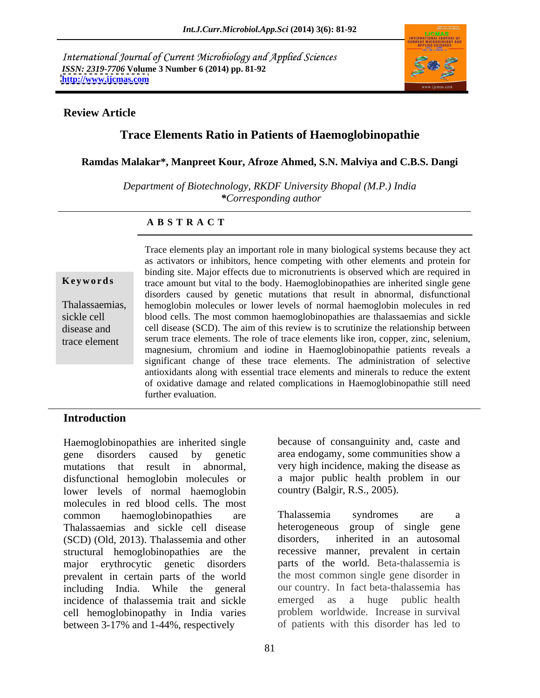International Journal of Current Microbiology and Applied Sciences *ISSN: 2319-7706* **Volume 3 Number 6 (2014) pp. 81-92 <http://www.ijcmas.com>**



### **Review Article**

# **Trace Elements Ratio in Patients of Haemoglobinopathie**

**Ramdas Malakar\*, Manpreet Kour, Afroze Ahmed, S.N. Malviya and C.B.S. Dangi**

*Department of Biotechnology, RKDF University Bhopal (M.P.) India \*Corresponding author* 

### **A B S T R A C T**

**Keywords** trace amount but vital to the body. Haemoglobinopathies are inherited single gene Thalassaemias, hemoglobin molecules or lower levels of normal haemoglobin molecules in red sickle cell blood cells. The most common haemoglobinopathies are thalassaemias and sickle disease and cell disease (SCD). The aim of this review is to scrutinize the relationship between trace element serum trace elements. The role of trace elements like iron, copper, zinc, selenium, Trace elements play an important role in many biological systems because they act as activators or inhibitors, hence competing with other elements and protein for binding site. Major effects due to micronutrients is observed which are required in disorders caused by genetic mutations that result in abnormal, disfunctional magnesium, chromium and iodine in Haemoglobinopathie patients reveals a significant change of these trace elements. The administration of selective antioxidants along with essential trace elements and minerals to reduce the extent of oxidative damage and related complications in Haemoglobinopathie still need further evaluation.

### **Introduction**

Haemoglobinopathies are inherited single gene disorders caused by genetic area endogamy, some communities show a mutations that result in abnormal, very high incidence, making the disease as disfunctional hemoglobin molecules or lower levels of normal haemoglobin molecules in red blood cells. The most common haemoglobinopathies are Thalassaemias and sickle cell disease heterogene<br>(SCD) (Old 2013) Thalassemia and other disorders. (SCD) (Old, 2013). Thalassemia and other structural hemoglobinopathies are the major erythrocytic genetic disorders parts of the world. Beta-thalassemia is prevalent in certain parts of the world including India. While the general our country. In fact beta-thalassemia has incidence of thalassemia trait and sickle emerged as a huge public health incidence of thalassemia trait and sickle cell hemoglobinopathy in India varies between 3-17% and 1-44%, respectively

because of consanguinity and, caste and a major public health problem in our country (Balgir, R.S., 2005).

Thalassemia syndromes are a heterogeneous group of single gene inherited in an autosomal recessive manner, prevalent in certain the most common single gene disorder in our country. In fact beta-thalassemia has emerged as a huge public health problem worldwide. Increase in survival of patients with this disorder has led to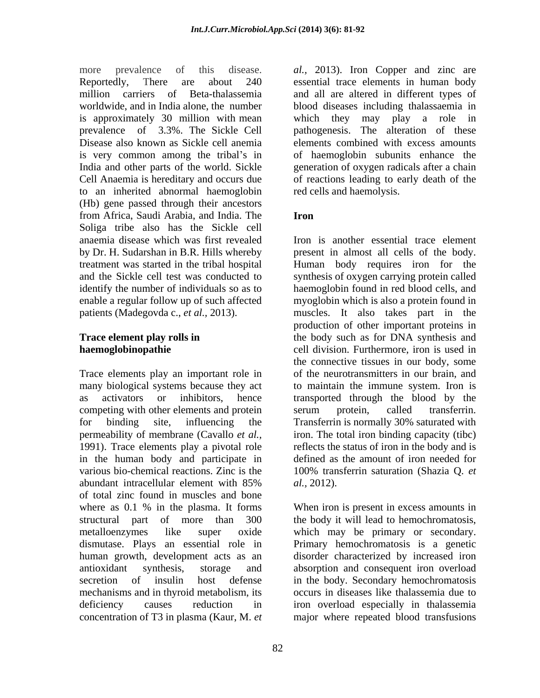more prevalence of this disease. *al.,* 2013). Iron Copper and zinc are Reportedly, There are about 240 essential trace elements in human body million carriers of Beta-thalassemia and all are altered in different types of worldwide, and in India alone, the number blood diseases including thalassaemia in is approximately 30 million with mean prevalence of 3.3%. The Sickle Cell pathogenesis. The alteration of these Disease also known as Sickle cell anemia elements combined with excess amounts is very common among the tribal's in India and other parts of the world. Sickle generation of oxygen radicals after a chain Cell Anaemia is hereditary and occurs due of reactions leading to early death of the to an inherited abnormal haemoglobin (Hb) gene passed through their ancestors from Africa, Saudi Arabia, and India. The Soliga tribe also has the Sickle cell anaemia disease which was first revealed

Trace elements play an important role in many biological systems because they act to maintain the immune system. Iron is as activators or inhibitors, hence transported through the blood by the competing with other elements and protein serum protein, called transferrin. for binding site, influencing the Transferrin is normally 30% saturated with permeability of membrane (Cavallo *et al.,* iron. The total iron binding capacity (tibc) 1991). Trace elements play a pivotal role reflects the status of iron in the body and is in the human body and participate in various bio-chemical reactions. Zinc is the 100% transferrin saturation (Shazia O. *et*) abundant intracellular element with 85% al., 2012). of total zinc found in muscles and bone where as 0.1 % in the plasma. It forms dismutase. Plays an essential role in

which they may play a role in of haemoglobin subunits enhance the red cells and haemolysis.

## **Iron**

by Dr. H. Sudarshan in B.R. Hills whereby present in almost all cells of the body. treatment was started in the tribal hospital Human body requires iron for the and the Sickle cell test was conducted to synthesis of oxygen carrying protein called identify the number of individuals so as to haemoglobin found in red blood cells, and enable a regular follow up of such affected myoglobin which is also a protein found in patients (Madegovda c., *et al.,* 2013). muscles. It also takes part in the **Trace element play rolls in** the body such as for DNA synthesis and **haemoglobinopathie** ell division. Furthermore, iron is used in Iron is another essential trace element production of other important proteins in the connective tissues in our body, some of the neurotransmitters in our brain, and serum protein, called transferrin. defined as the amount of iron needed for 100% transferrin saturation (Shazia Q. *et al.,* 2012).

structural part of more than 300 the body it will lead to hemochromatosis, metalloenzymes like super oxide which may be primary or secondary. human growth, development acts as an disorder characterized by increased iron antioxidant synthesis, storage and absorption and consequent iron overload secretion of insulin host defense in the body. Secondary hemochromatosis mechanisms and in thyroid metabolism, its occurs in diseases like thalassemia due to deficiency causes reduction in iron overload especially in thalassemia concentration of T3 in plasma (Kaur, M. *et*  major where repeated blood transfusionsWhen iron is present in excess amounts in Primary hemochromatosis is a genetic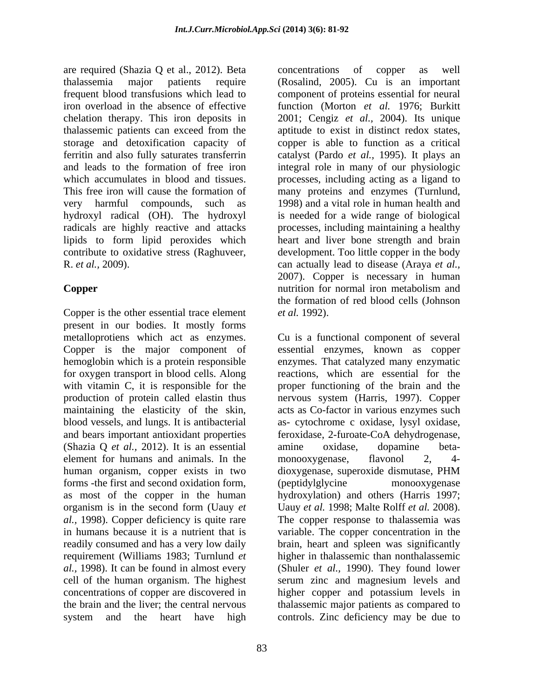are required (Shazia Q et al., 2012). Beta thalassemia major patients require (Rosalind, 2005). Cu is an important frequent blood transfusions which lead to component of proteins essential for neural iron overload in the absence of effective function (Morton *et al.* 1976; Burkitt chelation therapy. This iron deposits in 2001; Cengiz *et al.,* 2004). Its unique thalassemic patients can exceed from the aptitude to exist in distinct redox states, storage and detoxification capacity of copper is able to function as a critical ferritin and also fully saturates transferrin catalyst (Pardo *et al.*, 1995). It plays an and leads to the formation of free iron integral role in many of our physiologic which accumulates in blood and tissues. processes, including acting as a ligand to This free iron will cause the formation of many proteins and enzymes (Turnlund, very harmful compounds, such as 1998) and a vital role in human health and hydroxyl radical (OH). The hydroxyl radicals are highly reactive and attacks processes, including maintaining a healthy lipids to form lipid peroxides which contribute to oxidative stress (Raghuveer, development. Too little copper in the body R. *et al.,* 2009). can actually lead to disease (Araya *et al.,*

Copper is the other essential trace element *et al.* 1992). present in our bodies. It mostly forms metalloprotiens which act as enzymes. Cu is a functional component of several Copper is the major component of essential enzymes, known as copper hemoglobin which is a protein responsible for oxygen transport in blood cells. Along reactions, which are essential for the with vitamin C, it is responsible for the proper functioning of the brain and the production of protein called elastin thus nervous system (Harris, 1997). Copper maintaining the elasticity of the skin, acts as Co-factor in various enzymes such blood vessels, and lungs. It is antibacterial as- cytochrome c oxidase, lysyl oxidase, and bears important antioxidant properties feroxidase, 2-furoate-CoA dehydrogenase, (Shazia Q *et al.,* 2012). It is an essential element for humans and animals. In the monooxygenase, flavonol 2, 4human organism, copper exists in two dioxygenase, superoxide dismutase, PHM forms -the first and second oxidation form, as most of the copper in the human organism is in the second form (Uauy *et*  Uauy *et al.* 1998; Malte Rolff *et al.* 2008). *al.,* 1998). Copper deficiency is quite rare The copper response to thalassemia was in humans because it is a nutrient that is variable. The copper concentration in the readily consumed and has a very low daily brain, heart and spleen was significantly requirement (Williams 1983; Turnlund *et al.,* 1998). It can be found in almost every (Shuler *et al.,* 1990). They found lower cell of the human organism. The highest serum zinc and magnesium levels and concentrations of copper are discovered in higher copper and potassium levels in the brain and the liver; the central nervous thalassemic major patients as compared to system and the heart have high controls. Zinc deficiency may be due to

**Copper Copper Copper Copper Copper Copper Copper Copper Copper Copper Copper Copy Copy Copy Copy Copy Copy Copy Copy Copy Copy Copy Copy Copy Copy Copy Copy Copy Cop** concentrations of copper as well is needed for a wide range of biological heart and liver bone strength and brain 2007). Copper is necessary in human nutrition for normal iron metabolism and the formation of red blood cells (Johnson *et al.* 1992).

> enzymes. That catalyzed many enzymatic amine oxidase, dopamine beta monooxygenase, flavonol 2, 4 dioxygenase, superoxide dismutase, PHM (peptidylglycine monooxygenase hydroxylation) and others (Harris 1997; higher in thalassemic than nonthalassemic higher copper and potassium levels in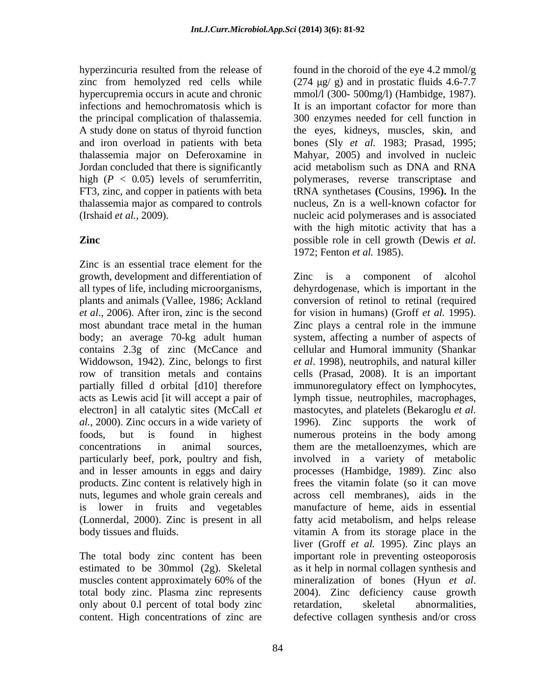Jordan concluded that there is significantly acid metabolism such as DNA and RNA high  $(P < 0.05)$  levels of serumferritin, thalassemia major as compared to controls

Zinc is an essential trace element for the growth, development and differentiation of acts as Lewis acid [it will accept a pair of electron] in all catalytic sites (McCall *et* mastocytes, and platelets (Bekaroglu *et al.*) *al.,* 2000). Zinc occurs in a wide variety of products. Zinc content is relatively high in

only about 0.1 percent of total body zinc retardation, skeletal abnormalities, content. High concentrations of zinc are defective collagen synthesis and/or cross

hyperzincuria resulted from the release of found in the choroid of the eye 4.2 mmol/g zinc from hemolyzed red cells while  $(274 \text{ µg}/ \text{g})$  and in prostatic fluids 4.6-7.7 hypercupremia occurs in acute and chronic mmol/l (300- 500mg/l) (Hambidge, 1987). infections and hemochromatosis which is It is an important cofactor for more than the principal complication of thalassemia. 300 enzymes needed for cell function in A study done on status of thyroid function the eyes, kidneys, muscles, skin, and and iron overload in patients with beta bones (Sly *et al.* 1983; Prasad, 1995; thalassemia major on Deferoxamine in Mahyar, 2005) and involved in nucleic FT3, zinc, and copper in patients with beta tRNA synthetases **(**Cousins, 1996**).** In the (Irshaid *et al.,* 2009). nucleic acid polymerases and is associated **Zinc** possible role in cell growth (Dewis *et al.* acid metabolism such as DNA and RNA polymerases, reverse transcriptase and nucleus, Zn is a well-known cofactor for with the high mitotic activity that has a 1972; Fenton *et al.* 1985).

all types of life, including microorganisms, dehyrdogenase, which is important in the plants and animals (Vallee, 1986; Ackland conversion of retinol to retinal (required *et al*., 2006). After iron, zinc is the second for vision in humans) (Groff *et al.* 1995). most abundant trace metal in the human Zinc plays a central role in the immune body; an average 70-kg adult human system, affecting a number of aspects of contains 2.3g of zinc (McCance and cellular and Humoral immunity (Shankar Widdowson, 1942). Zinc, belongs to first *et al*. 1998), neutrophils, and natural killer row of transition metals and contains cells (Prasad, 2008). It is an important partially filled d orbital [d10] therefore immunoregulatory effect on lymphocytes, foods, but is found in highest numerous proteins in the body among concentrations in animal sources, them are the metalloenzymes, which are particularly beef, pork, poultry and fish, involved in a variety of metabolic and in lesser amounts in eggs and dairy processes (Hambidge, 1989). Zinc also nuts, legumes and whole grain cereals and across cell membranes), aids in the is lower in fruits and vegetables manufacture of heme, aids in essential (Lonnerdal, 2000). Zinc is present in all fatty acid metabolism, and helps release body tissues and fluids. The vitamin A from its storage place in the The total body zinc content has been important role in preventing osteoporosis estimated to be 30mmol (2g). Skeletal as it help in normal collagen synthesis and muscles content approximately 60% of the mineralization of bones (Hyun et al. total body zinc. Plasma zinc represents 2004). Zinc deficiency cause growth Zinc is a component of alcohol lymph tissue, neutrophiles, macrophages, mastocytes, and platelets (Bekaroglu *et al*. 1996). Zinc supports the work of frees the vitamin folate (so it can move liver (Groff *et al.* 1995). Zinc plays an mineralization of bones (Hyun *et al*. retardation, skeletal abnormalities,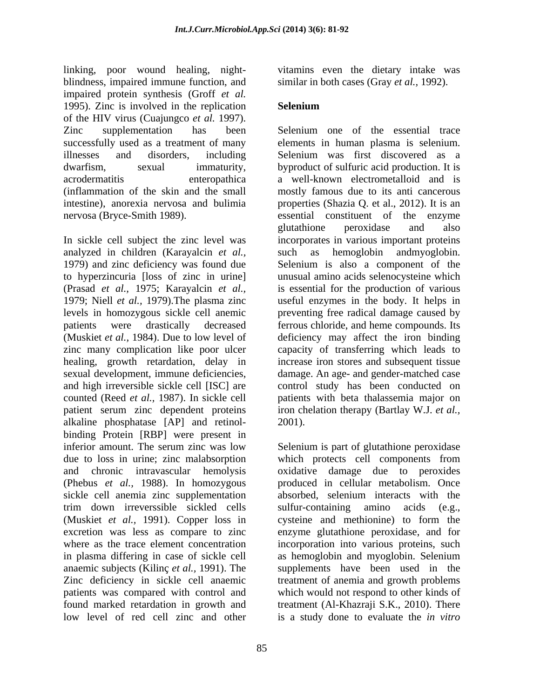linking, poor wound healing, night blindness, impaired immune function, and similar in both cases (Gray *et al.,* 1992). impaired protein synthesis (Groff *et al.*  1995). Zinc is involved in the replication Selenium of the HIV virus (Cuajungco *et al.* 1997). successfully used as a treatment of many

(Prasad *et al.,* 1975; Karayalcin *et al.,* healing, growth retardation, delay in alkaline phosphatase [AP] and retinol binding Protein [RBP] were present in inferior amount. The serum zinc was low inferior amount. The serum zinc was low Selenium is part of glutathione peroxidase due to loss in urine; zinc malabsorption which protects cell components from and chronic intravascular hemolysis (Phebus *et al.,* 1988). In homozygous sickle cell anemia zinc supplementation absorbed, selenium interacts with the trim down irreverssible sickled cells sulfur-containing amino acids (e.g., (Muskiet *et al.,* 1991). Copper loss in excretion was less as compare to zinc enzyme glutathione peroxidase, and for where as the trace element concentration incorporation into various proteins, such in plasma differing in case of sickle cell as hemoglobin and myoglobin. Selenium anaemic subjects (Kilinç *et al.,* 1991). The supplements have been used in the Zinc deficiency in sickle cell anaemic treatment of anemia and growth problems patients was compared with control and which would not respond to other kinds of found marked retardation in growth and treatment (Al-Khazraji S.K., 2010). There low level of red cell zinc and other is a study done to evaluate the *in vitro*

vitamins even the dietary intake was

## **Selenium**

Zinc supplementation has been Selenium one of the essential trace illnesses and disorders, including Selenium was first discovered as a dwarfism, sexual immaturity, byproduct of sulfuric acid production. It is acrodermatitis enteropathica a well-known electrometalloid and is (inflammation of the skin and the small mostly famous due to its anti cancerous intestine), anorexia nervosa and bulimia properties (Shazia Q. et al., 2012). It is an nervosa (Bryce-Smith 1989). essential constituent of the enzyme In sickle cell subject the zinc level was incorporates in various important proteins analyzed in children (Karayalcin *et al.,* such as hemoglobin andmyoglobin. 1979) and zinc deficiency was found due Selenium is also a component of the to hyperzincuria [loss of zinc in urine] unusual amino acids selenocysteine which 1979; Niell *et al.,* 1979).The plasma zinc useful enzymes in the body. It helps in levels in homozygous sickle cell anemic preventing free radical damage caused by patients were drastically decreased ferrous chloride, and heme compounds. Its (Muskiet *et al.,* 1984). Due to low level of deficiency may affect the iron binding zinc many complication like poor ulcer capacity of transferring which leads to sexual development, immune deficiencies, damage. An age- and gender-matched case and high irreversible sickle cell [ISC] are control study has been conducted on counted (Reed *et al.*, 1987). In sickle cell patients with beta thalassemia major on patient serum zinc dependent proteins iron chelation therapy (Bartlay W.J. *et al.,* elements in human plasma is selenium. glutathione peroxidase and also is essential for the production of various increase iron stores and subsequent tissue 2001).

> oxidative damage due to peroxides produced in cellular metabolism. Once sulfur-containing amino acids (e.g., cysteine and methionine) to form the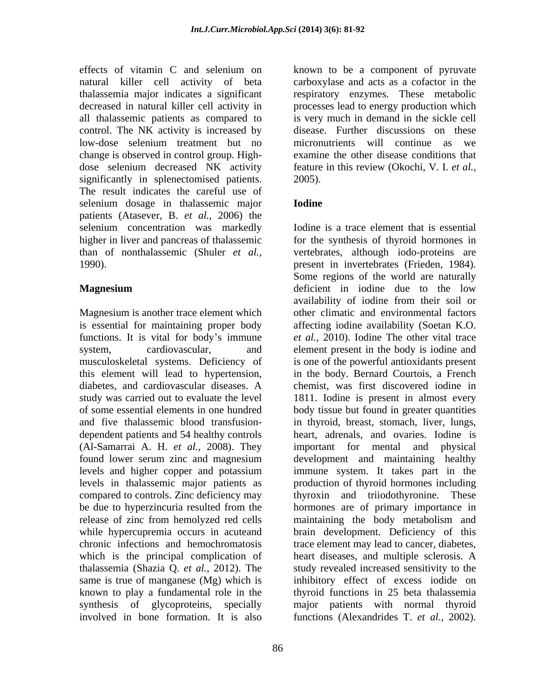control. The NK activity is increased by low-dose selenium treatment but no micronutrients will continue as we change is observed in control group. High significantly in splenectomised patients. 2005). The result indicates the careful use of selenium dosage in thalassemic major **Iodine** patients (Atasever, B. *et al.,* 2006) the

Magnesium is another trace element which functions. It is vital for body's immune diabetes, and cardiovascular diseases. A release of zinc from hemolyzed red cells maintaining the body metabolism and which is the principal complication of known to play a fundamental role in the involved in bone formation. It is also functions (Alexandrides T. *et al.,* 2002).

effects of vitamin C and selenium on known to be a component of pyruvate natural killer cell activity of beta carboxylase and acts as a cofactor in the thalassemia major indicates a significant respiratory enzymes. These metabolic decreased in natural killer cell activity in processes lead to energy production which all thalassemic patients as compared to is very much in demand in the sickle cell dose selenium decreased NK activity feature in this review (Okochi, V. I. *et al.,* disease. Further discussions on these micronutrients will continue as examine the other disease conditions that 2005).

## **Iodine**

selenium concentration was markedly Iodine is a trace element that is essential higher in liver and pancreas of thalassemic for the synthesis of thyroid hormones in than of nonthalassemic (Shuler *et al.,* vertebrates, although iodo-proteins are 1990). present in invertebrates (Frieden, 1984). **Magnesium** deficient in iodine due to the low is essential for maintaining proper body affecting iodine availability (Soetan K.O. system, cardiovascular, and element present in the body is iodine and musculoskeletal systems. Deficiency of is one of the powerful antioxidants present this element will lead to hypertension, in the body. Bernard Courtois, a French study was carried out to evaluate the level 1811. Iodine is present in almost every of some essential elements in one hundred body tissue but found in greater quantities and five thalassemic blood transfusion- in thyroid, breast, stomach, liver, lungs, dependent patients and 54 healthy controls heart, adrenals, and ovaries. Iodine is (Al-Samarrai A. H. *et al.,* 2008). They important for mental and physical found lower serum zinc and magnesium development and maintaining healthy levels and higher copper and potassium immune system. It takes part in the levels in thalassemic major patients as production of thyroid hormones including compared to controls. Zinc deficiency may thyroxin and triiodothyronine. These be due to hyperzincuria resulted from the hormones are of primary importance in while hypercupremia occurs in acuteand brain development. Deficiency of this chronic infections and hemochromatosis trace element may lead to cancer, diabetes, thalassemia (Shazia Q. *et al.,* 2012). The study revealed increased sensitivity to the same is true of manganese (Mg) which is inhibitory effect of excess iodide on synthesis of glycoproteins, specially major patients with normal thyroid Some regions of the world are naturally availability of iodine from their soil or other climatic and environmental factors *et al.,* 2010). Iodine The other vital trace chemist, was first discovered iodine in maintaining the body metabolism and heart diseases, and multiple sclerosis. A thyroid functions in 25 beta thalassemia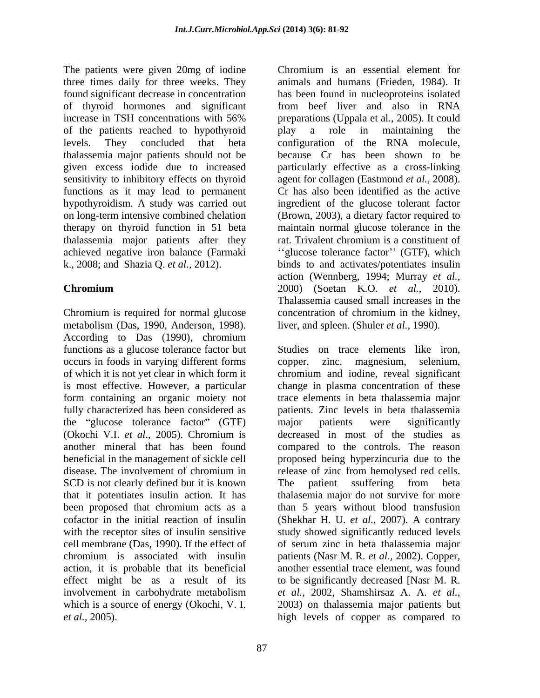The patients were given 20mg of iodine Chromium is an essential element for three times daily for three weeks. They found significant decrease in concentration has been found in nucleoproteins isolated of thyroid hormones and significant from beef liver and also in RNA increase in TSH concentrations with 56% preparations (Uppala et al., 2005). It could of the patients reached to hypothyroid<br>levels. They concluded that beta configuration of the RNA molecule. levels. They concluded that beta configuration of the RNA molecule, thalassemia major patients should not be given excess iodide due to increased particularly effective as a cross-linking sensitivity to inhibitory effects on thyroid agent for collagen (Eastmond *et al.,* 2008). functions as it may lead to permanent hypothyroidism. A study was carried out ingredient of the glucose tolerant factor on long-term intensive combined chelation (Brown, 2003), a dietary factor required to therapy on thyroid function in 51 beta maintain normal glucose tolerance in the thalassemia major patients after they rat. Trivalent chromium is a constituent of achieved negative iron balance (Farmaki "glucose tolerance factor" (GTF), which k., 2008; and Shazia Q. *et al.,* 2012). binds to and activates/potentiates insulin

Chromium is required for normal glucose concentration of chromium in the kidney, metabolism (Das, 1990, Anderson, 1998). According to Das (1990), chromium functions as a glucose tolerance factor but occurs in foods in varying different forms copper, zinc, magnesium, selenium, of which it is not yet clear in which form it chromium and iodine, reveal significant is most effective. However, a particular change in plasma concentration of these form containing an organic moiety not trace elements in beta thalassemia major fully characterized has been considered as patients. Zinc levels in beta thalassemia the "glucose tolerance factor" (GTF) major patients were significantly (Okochi V.I. *et al*., 2005). Chromium is another mineral that has been found compared to the controls. The reason beneficial in the management of sickle cell proposed being hyperzincuria due to the disease. The involvement of chromium in release of zinc from hemolysed red cells. SCD is not clearly defined but it is known The patient ssuffering from beta that it potentiates insulin action. It has thalasemia major do not survive for more been proposed that chromium acts as a than 5 years without blood transfusion cofactor in the initial reaction of insulin (Shekhar H. U. *et al.*, 2007). A contrary with the receptor sites of insulin sensitive study showed significantly reduced levels cell membrane (Das, 1990). If the effect of of serum zinc in beta thalassemia major<br>chromium is associated with insulin patients (Nasr M. R. *et al.*, 2002). Copper, chromium is associated with insulin patients (Nasr M. R. *et al.,* 2002). Copper, action, it is probable that its beneficial effect might be as a result of its involvement in carbohydrate metabolism et al., 2002, Shamshirsaz A. A. et al., which is a source of energy (Okochi, V. I. 2003) on thalassemia major patients but *et al.,* 2005). high levels of copper as compared to

**Chromium** 2000) (Soetan K.O. *et al.*, 2010). Chromium is an essential element for animals and humans (Frieden, 1984). It preparations (Uppala et al., 2005). It could play a role in maintaining the because Cr has been shown to be Cr has also been identified as the active rat. Trivalent chromium is a constituent of action (Wennberg, 1994; Murray *et al.,* 2000) (Soetan K.O. *et al.,* 2010). Thalassemia caused small increases in the liver, and spleen. (Shuler *et al.,* 1990).

> Studies on trace elements like iron, zinc, magnesium, major patients were significantly decreased in most of the studies as The patient ssuffering from beta of serum zinc in beta thalassemia major another essential trace element, was found to be significantly decreased [Nasr M. R. *et al.,* 2002, Shamshirsaz A. A. *et al.,*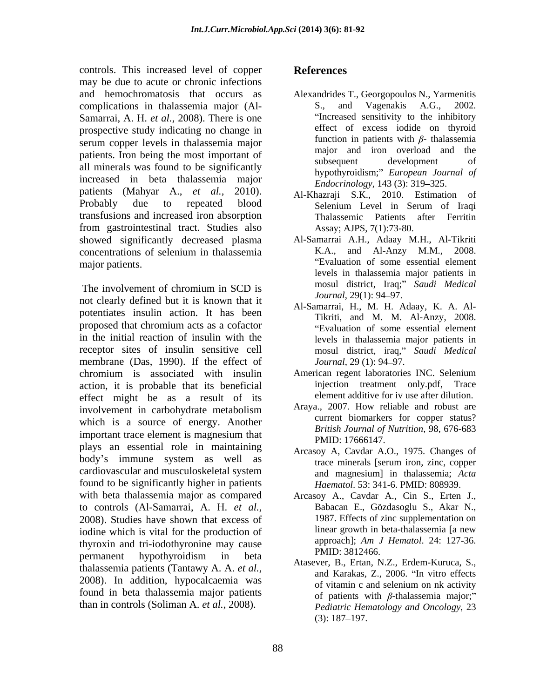controls. This increased level of copper References may be due to acute or chronic infections and hemochromatosis that occurs as Alexandrides T., Georgopoulos N., Yarmenitis complications in thalassemia major (Al- Samarrai, A. H. *et al.,* 2008). There is one prospective study indicating no change in serum copper levels in thalassemia major<br>major and iron overload and the series of the contract of the major and iron overload and the patients. Iron being the most important of the major and iron overload and the subsequent of the subsequent of all minerals was found to be significantly increased in beta thalassemia major patients (Mahyar A., *et al.,* 2010). Probably due to repeated blood Selenium Level in Serum of Iraqi transfusions and increased iron absorption from gastrointestinal tract. Studies also showed significantly decreased plasma concentrations of selenium in thalassemia major patients. Evaluation of some essential element

not clearly defined but it is known that it  $\frac{Journal}{29(1): 94-97}$ . potentiates insulin action. It has been proposed that chromium acts as a cofactor in the initial reaction of insulin with the receptor sites of insulin sensitive cell membrane (Das, 1990). If the effect of *Journal*, 29 (1): 94–97. chromium is associated with insulin American regent laboratories INC. Selenium action, it is probable that its beneficial effect might be as a result of its involvement in carbohydrate metabolism which is a source of energy. Another important trace element is magnesium that plays an essential role in maintaining body's immune system as well as the three minerals [serum iron, zinc, copper cardiovascular and musculoskeletal system found to be significantly higher in patients with beta thalassemia major as compared Arcasoy A., Cavdar A., Cin S., Erten J., to controls (Al-Samarrai, A. H. *et al.,* 2008). Studies have shown that excess of 1987. Effects of zinc supplementation on indine which is vital for the production of linear growth in beta-thalassemia [a new iodine which is vital for the production of thyroxin and tri-iodothyronine may cause permanent hypothyroidism in beta **ENID.** 3012400. thalassemia patients (Tantawy A. A. *et al.,* 2008). In addition, hypocalcaemia was of vitamin c and selenium on nk activity found in beta thalassemia major patients than in controls (Soliman A. *et al.*, 2008).

## **References**

- S., and Vagenakis A.G., 2002. Increased sensitivity to the inhibitory effect of excess iodide on thyroid function in patients with  $\beta$ - thalassemia major and iron overload and subsequent development of hypothyroidism; *European Journal of Endocrinology*, 143 (3): 319-325.
- Al-Khazraji S.K., 2010. Estimation of Selenium Level in Serum of Iraqi Thalassemic Patients after Ferritin Assay; AJPS, 7(1):73-80.
- The involvement of chromium in SCD is  $\frac{100801}{100801}$  usinct,  $\frac{100}{27}$  square meator. Al-Samarrai A.H., Adaay M.H., Al-Tikriti K.A., and Al-Anzy M.M., 2008. levels in thalassemia major patients in mosul district, Iraq; *Saudi Medical Journal*, 29(1): 94–97.
	- Al-Samarrai, H., M. H. Adaay, K. A. Al- Tikriti, and M. M. Al-Anzy, 2008. Evaluation of some essential element levels in thalassemia major patients in mosul district, iraq," Saudi Medical *Journal*, 29 (1): 94–97.
	- injection treatment only.pdf, Trace element additive for iv use after dilution.
	- Araya., 2007. How reliable and robust are current biomarkers for copper status? *British Journal of Nutrition,* 98, 676-683 PMID: 17666147.
	- Arcasoy A, Cavdar A.O., 1975. Changes of trace minerals [serum iron, zinc, copper and magnesium] in thalassemia; *Acta Haematol*. 53: 341-6. PMID: 808939.
	- Babacan E., Gözdasoglu S., Akar N., 1987. Effects of zinc supplementation on linear growth in beta-thalassemia [a new approach]; *Am J Hematol*. 24: 127-36. PMID: 3812466.
	- Atasever, B., Ertan, N.Z., Erdem-Kuruca, S., and Karakas, Z., 2006. "In vitro effects of vitamin c and selenium on nk activity of patients with  $\beta$ -thalassemia major;" *Pediatric Hematology and Oncology*, 23  $(3): 187 - 197.$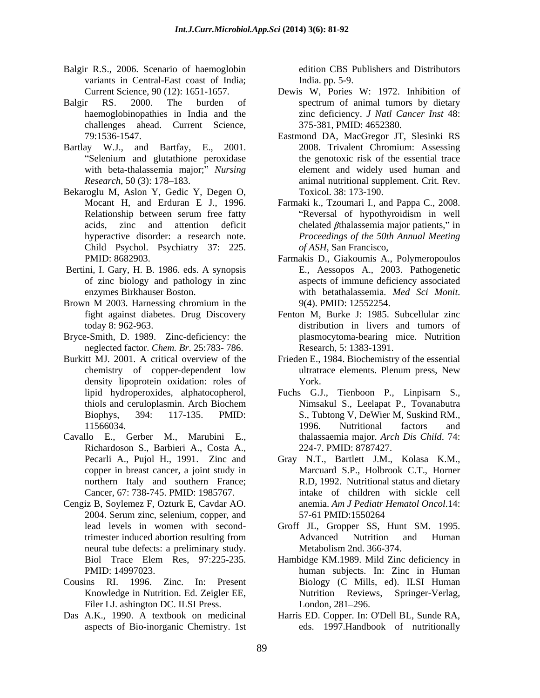- Balgir R.S., 2006. Scenario of haemoglobin variants in Central-East coast of India; India pp. 5-9.
- Balgir RS. 2000. The burden of spectrum of animal tumors by dietary challenges ahead. Current Science,
- Bartlay W.J., and Bartfay, E., 2001.<br>
"Selenium and glutathione peroxidase"
- Bekaroglu M, Aslon Y, Gedic Y, Degen O, Child Psychol. Psychiatry 37: 225.
- of zinc biology and pathology in zinc
- Brown M 2003. Harnessing chromium in the  $9(4)$ . PMID: 12552254. fight against diabetes. Drug Discovery
- Bryce-Smith, D. 1989. Zinc-deficiency: the neglected factor. *Chem. Br*. 25:783- 786.
- Burkitt MJ. 2001. A critical overview of the Frieden E., 1984. Biochemistry of the essential density lipoprotein oxidation: roles of York.
- Cavallo E., Gerber M., Marubini E., Richardoson S., Barbieri A., Costa A.,
- Cengiz B, Soylemez F, Ozturk E, Cavdar AO. neural tube defects: a preliminary study.
- Filer LJ. ashington DC. ILSI Press. London, 281–296.
- Das A.K., 1990. A textbook on medicinal Harris ED. Copper. In: O'Dell BL, Sunde RA,

edition CBS Publishers and Distributors India. pp. 5-9.

- Current Science, 90 (12): 1651-1657. Dewis W, Pories W: 1972. Inhibition of haemoglobinopathies in India and the zinc deficiency. *J Natl Cancer Inst* 48: spectrum of animal tumors by dietary 375-381, PMID: 4652380.
- 79:1536-1547. Eastmond DA, MacGregor JT, Slesinki RS Selenium and glutathione peroxidase the genotoxic risk of the essential trace with beta-thalassemia major; *Nursing*  element and widely used human and *Research*, 50 (3): 178–183. **animal nutritional supplement.** Crit. Rev. 2008. Trivalent Chromium: Assessing the genotoxic risk of the essential trace Toxicol. 38: 173-190.
- Mocant H, and Erduran E J., 1996. Farmaki k., Tzoumari I., and Pappa C., 2008. Relationship between serum free fatty **Reversal** of hypothyroidism in well acids, zinc and attention deficit chelated  $\beta$ thalassemia major patients," in hyperactive disorder: a research note. *Proceedings of the 50th Annual Meeting* Reversal of hypothyroidism in well *of ASH*, San Francisco,
- PMID: 8682903. Farmakis D., Giakoumis A., Polymeropoulos<br>Bertini, I. Gary, H. B. 1986. eds. A synopsis E., Aessopos A., 2003. Pathogenetic enzymes Birkhauser Boston. The South Setation and Sci Monit. The Sci Monit. Farmakis D., Giakoumis A., Polymeropoulos E., Aessopos A., 2003. Pathogenetic aspects of immune deficiency associated with betathalassemia. *Med Sci Monit*. 9(4). PMID: 12552254.
	- today 8: 962-963. distribution in livers and tumors of Fenton M, Burke J: 1985. Subcellular zinc plasmocytoma-bearing mice. Nutrition Research, 5: 1383-1391.
	- chemistry of copper-dependent low ultratrace elements. Plenum press, New York.
	- lipid hydroperoxides, alphatocopherol, Fuchs G.J., Tienboon P., Linpisarn S., thiols and ceruloplasmin. Arch Biochem Biophys, 394: 117-135. PMID: S., Tubtong V, DeWier M, Suskind RM., 11566034. 1996. Nutritional factors and Nimsakul S., Leelapat P., Tovanabutra 1996. Nutritional factors and thalassaemia major. *Arch Dis Child*. 74: 224-7. PMID: 8787427.
	- Pecarli A., Pujol H., 1991. Zinc and Gray N.T., Bartlett J.M., Kolasa K.M., copper in breast cancer, a joint study in Marcuard S.P., Holbrook C.T., Horner northern Italy and southern France; R.D, 1992. Nutritional status and dietary Cancer, 67: 738-745. PMID: 1985767. intake of children with sickle cell 2004. Serum zinc, selenium, copper, and anemia. *Am J Pediatr Hematol Oncol*.14: 57-61 PMID:1550264
	- lead levels in women with second-Groff JL, Gropper SS, Hunt SM. 1995. trimester induced abortion resulting from Advanced Nutrition and Human Metabolism 2nd. 366-374.
- Biol Trace Elem Res, 97:225-235. Hambidge KM.1989. Mild Zinc deficiency in PMID: 14997023. human subjects. In: Zinc in Human Cousins RI. 1996. Zinc. In: Present Biology (C Mills, ed). ILSI Human Knowledge in Nutrition. Ed. Zeigler EE, Nutrition Reviews, Springer-Verlag,  $London, 281-296.$ 
	- aspects of Bio-inorganic Chemistry. 1st eds. 1997.Handbook of nutritionally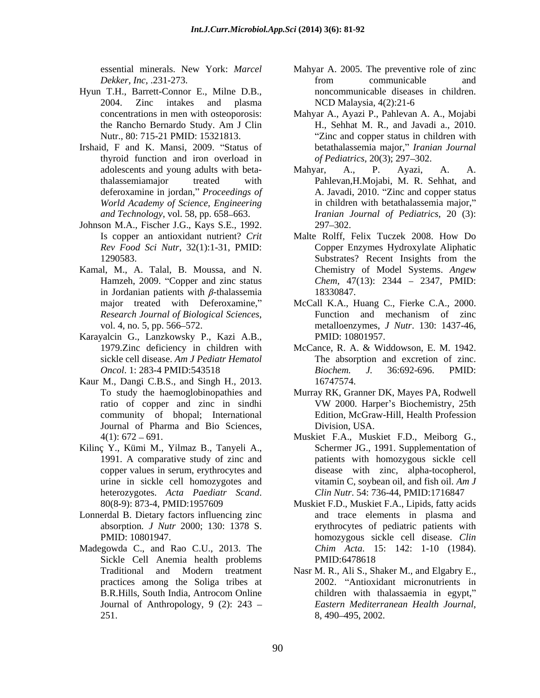- Hyun T.H., Barrett-Connor E., Milne D.B., 2004. Zinc intakes and plasma
- Irshaid, F and K. Mansi, 2009. "Status of thyroid function and iron overload in *World Academy of Science, Engineering*
- Johnson M.A., Fischer J.G., Kays S.E., 1992.
- Kamal, M., A. Talal, B. Moussa, and N. Hamzeh, 2009. "Copper and zinc status in Jordanian patients with  $\beta$ -thalassemia 18330847.
- Karayalcin G., Lanzkowsky P., Kazi A.B., sickle cell disease. *Am J Pediatr Hematol*
- Kaur M., Dangi C.B.S., and Singh H., 2013. community of bhopal; International Journal of Pharma and Bio Sciences,
- Kilinç Y., Kümi M., Yilmaz B., Tanyeli A., heterozygotes. *Acta Paediatr Scand.* Clin Nutr. 54: 736-44, PMID:1716847<br>80(8-9): 873-4, PMID:1957609 Muskiet F.D., Muskiet F.A., Lipids, fatty acids
- Lonnerdal B. Dietary factors influencing zinc
- Madegowda C., and Rao C.U., 2013. The Chim Acta. 15: 142: 1-10 (1984). Sickle Cell Anemia health problems PMID:6478618 251. 8, 490–495, 2002.
- essential minerals. New York: *Marcel*  Mahyar A. 2005. The preventive role of zinc *Dekker, Inc.* .231-273. *Dekker, Inc.* .231-273. from communicable and noncommunicable diseases in children. NCD Malaysia, 4(2):21-6
- concentrations in men with osteoporosis: Mahyar A., Ayazi P., Pahlevan A. A., Mojabi the Rancho Bernardo Study. Am J Clin Nutr., 80: 715-21 PMID: 15321813. Zinc and copper status in children with H., Sehhat M. R., and Javadi a., 2010. betathalassemia major, *Iranian Journal of Pediatrics*, 20(3); 297–302.
- adolescents and young adults with beta-<br>Mahyar, A., P. Ayazi, A. A. thalassemiamajor treated with Pahlevan,H.Mojabi, M. R. Sehhat, and deferoxamine in jordan," *Proceedings of* A. Javadi, 2010. "Zinc and copper status *and Technology*, vol. 58, pp. 658 663. *Iranian Journal of Pediatrics*, 20 (3): Mahyar, A., P. Ayazi, A. A. in children with betathalassemia major,  $297 - 302.$
- Is copper an antioxidant nutrient? *Crit*  Malte Rolff, Felix Tuczek 2008. How Do *Rev Food Sci Nutr*, 32(1):1-31, PMID: Copper Enzymes Hydroxylate Aliphatic 1290583. Substrates? Recent Insights from the Substrates? Recent Insights from the Chemistry of Model Systems. *Angew Chem, 47(13): 2344 - 2347, PMID:* 18330847.
- major treated with Deferoxamine," McCall K.A., Huang C., Fierke C.A., 2000. *Research Journal of Biological Sciences*, Function and mechanism of zinc vol. 4, no. 5, pp. 566–572. The metalloenzymes, *J Nutr.* 130: 1437-46, Function and mechanism of zinc metalloenzymes, *J Nutr*. 130: 1437-46, PMID: 10801957.
- 1979.Zinc deficiency in children with McCance, R. A. & Widdowson, E. M. 1942. *Oncol.* 1: 283-4 PMID:543518 *Biochem. J.* 36:692-696. PMID: The absorption and excretion of zinc. *Biochem. J.* 36:692-696. PMID: 16747574.
- To study the haemoglobinopathies and Murray RK, Granner DK, Mayes PA, Rodwell ratio of copper and zinc in sindhi<br>
WW 2000. Harper's Biochemistry, 25th VW 2000. Harper's Biochemistry, 25th Edition, McGraw-Hill, Health Profession Division, USA.
- 4(1): 672 691. Muskiet F.A., Muskiet F.D., Meiborg G., 1991. A comparative study of zinc and patients with homozygous sickle cell copper values in serum, erythrocytes and disease with zinc, alpha-tocopherol, urine in sickle cell homozygotes and vitamin C, soybean oil, and fish oil. *Am J*  Schermer JG., 1991. Supplementation of *Clin Nutr*. 54: 736-44, PMID:1716847
- absorption*. J Nutr* 2000; 130: 1378 S. erythrocytes of pediatric patients with PMID: 10801947. homozygous sickle cell disease. *Clin*  Muskiet F.D., Muskiet F.A., Lipids, fatty acids and trace elements in plasma and *Chim Acta.* 15: 142: 1-10 (1984).<br>PMID:6478618
- Traditional and Modern treatment Nasr M. R., Ali S., Shaker M., and Elgabry E., practices among the Soliga tribes at 2002. "Antioxidant micronutrients in B.R.Hills, South India, Antrocom Online Journal of Anthropology, 9 (2): 243 – Eastern Mediterranean Health Journal, children with thalassaemia in egypt, *Eastern Mediterranean Health Journal*, 8, 490 495, 2002.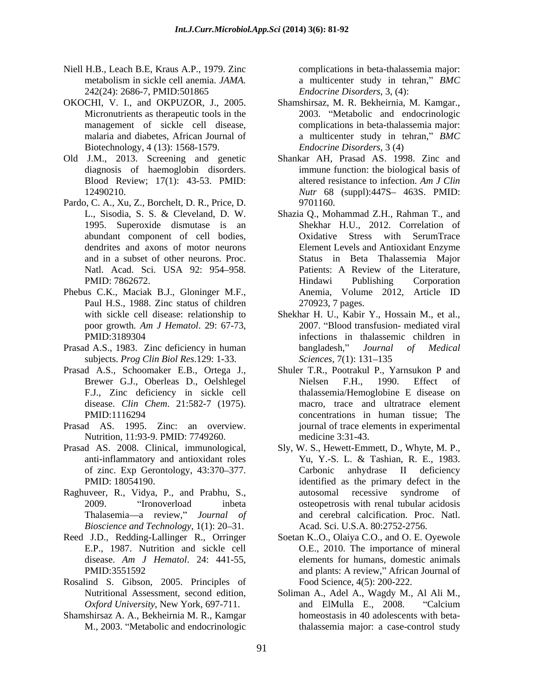- Niell H.B., Leach B.E, Kraus A.P., 1979. Zinc 242(24): 2686-7, PMID:501865
- Biotechnology, 4 (13): 1568-1579.
- Old J.M., 2013. Screening and genetic
- Pardo, C. A., Xu, Z., Borchelt, D. R., Price, D.
- Paul H.S., 1988. Zinc status of children with sickle cell disease: relationship to
- subjects. *Prog Clin Biol Res*.129: 1-33.
- Prasad A.S., Schoomaker E.B., Ortega J., disease. *Clin Chem*. 21:582-7 (1975).
- Nutrition, 11:93-9. PMID: 7749260.
- of zinc. Exp Gerontology, 43:370–377. Carbonic
- Thalasemia-a review," Journal of *Bioscience and Technology*, 1(1): 20–31.
- Reed J.D., Redding-Lallinger R., Orringer Soetan K..O., Olaiya C.O., and O. E. Oyewole
- Rosalind S. Gibson, 2005. Principles of
- Shamshirsaz A. A., Bekheirnia M. R., Kamgar

metabolism in sickle cell anemia. *JAMA.*  complications in beta-thalassemia major: a multicenter study in tehran," *BMC Endocrine Disorders*, 3, (4):

- OKOCHI, V. I., and OKPUZOR, J., 2005. Shamshirsaz, M. R. Bekheirnia, M. Kamgar., Micronutrients as therapeutic tools in the 2003. "Metabolic and endocrinologic management of sickle cell disease, complications in beta-thalassemia major: malaria and diabetes, African Journal of a multicenter study in tehran," BMC *Endocrine Disorders*, 3 (4)
	- diagnosis of haemoglobin disorders. immune function: the biological basis of Blood Review; 17(1): 43-53. PMID: altered resistance to infection. Am J Clin 12490210. *Nutr* 68 (suppl):447S- 463S. PMID: Shankar AH, Prasad AS. 1998. Zinc and altered resistance to infection. *Am J Clin* 9701160.
- L., Sisodia, S. S. & Cleveland, D. W. Shazia Q., Mohammad Z.H., Rahman T., and 1995. Superoxide dismutase is an Shekhar H.U., 2012. Correlation of abundant component of cell bodies, Oxidative Stress with SerumTrace dendrites and axons of motor neurons Element Levels and Antioxidant Enzyme and in a subset of other neurons. Proc. Status in Beta Thalassemia Major Natl. Acad. Sci. USA 92: 954–958. Patients: A Review of the Literature, PMID: 7862672. Phebus C.K., Maciak B.J., Gloninger M.F., Anemia, Volume 2012, Article ID Patients: A Review of the Literature, Hindawi Publishing Corporation Anemia, Volume 2012, Article ID 270923, 7 pages.
- poor growth*. Am J Hematol*. 29: 67-73, PMID:3189304 infections in thalassemic children in Prasad A.S., 1983. Zinc deficiency in human bangladesh," Journal of Medical Shekhar H. U., Kabir Y., Hossain M., et al., 2007. "Blood transfusion- mediated viral bangladesh," *Journal of Medical Sciences*, 7(1): 131–135
- Brewer G.J., Oberleas D., Oelshlegel F.J., Zinc deficiency in sickle cell thalassemia/Hemoglobine E disease on PMID:1116294 concentrations in human tissue; The Prasad AS. 1995. Zinc: an overview. journal of trace elementsin experimental Shuler T.R., Pootrakul P., Yarnsukon P and Nielsen F.H., 1990. Effect of macro, trace and ultratrace element medicine 3:31-43.
- Prasad AS. 2008. Clinical, immunological, Sly, W. S., Hewett-Emmett, D., Whyte, M. P., anti-inflammatory and antioxidant roles Yu, Y.-S. L. & Tashian, R. E., 1983. PMID: 18054190. identified as the primary defect in the Raghuveer, R., Vidya, P., and Prabhu, S., autosomal recessive syndrome of 2009. <br>
"Ironoverload inbeta osteopetrosis with renal tubular acidosis" Yu, Y.-S. L. & Tashian, R. E., 1983. anhydrase II deficiency autosomal recessive syndrome of osteopetrosis with renal tubular acidosis and cerebral calcification. Proc. Natl. Acad. Sci. U.S.A. 80:2752-2756.
	- E.P., 1987. Nutrition and sickle cell O.E., 2010. The importance of mineral disease. *Am J Hematol*. 24: 441-55, PMID:3551592 and plants: A review," African Journal of elements for humans, domestic animals Food Science, 4(5): 200-222.
	- Nutritional Assessment, second edition, Soliman A., Adel A., Wagdy M., Al Ali M., *Oxford University*, New York, 697-711. M., 2003. "Metabolic and endocrinologic balassemia major: a case-control study and ElMulla E., 2008. "Calcium homeostasis in 40 adolescents with beta-